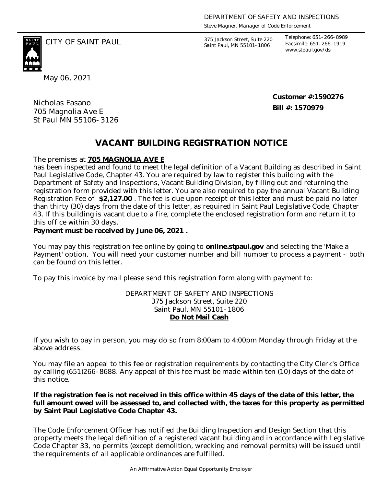*Steve Magner, Manager of Code Enforcement*

375 Jackson Street, Suite 220 *Saint Paul, MN 55101-1806*

*Telephone: 651-266-8989 Facsimile: 651-266-1919 www.stpaul.gov/dsi*

CITY OF SAINT PAUL *375 Jackson Street, Suite 220* 

May 06, 2021

Nicholas Fasano 705 Magnolia Ave E St Paul MN 55106-3126 **Customer #:1590276 Bill #: 1570979**

## **VACANT BUILDING REGISTRATION NOTICE**

The premises at **705 MAGNOLIA AVE E**

has been inspected and found to meet the legal definition of a Vacant Building as described in Saint Paul Legislative Code, Chapter 43. You are required by law to register this building with the Department of Safety and Inspections, Vacant Building Division, by filling out and returning the registration form provided with this letter. You are also required to pay the annual Vacant Building Registration Fee of **\$2,127.00** . The fee is due upon receipt of this letter and must be paid no later than thirty (30) days from the date of this letter, as required in Saint Paul Legislative Code, Chapter 43. If this building is vacant due to a fire, complete the enclosed registration form and return it to this office within 30 days.

**Payment must be received by June 06, 2021 .** 

You may pay this registration fee online by going to **online.stpaul.gov** and selecting the 'Make a Payment' option. You will need your customer number and bill number to process a payment - both can be found on this letter.

To pay this invoice by mail please send this registration form along with payment to:

DEPARTMENT OF SAFETY AND INSPECTIONS 375 Jackson Street, Suite 220 Saint Paul, MN 55101-1806 **Do Not Mail Cash**

If you wish to pay in person, you may do so from 8:00am to 4:00pm Monday through Friday at the above address.

You may file an appeal to this fee or registration requirements by contacting the City Clerk's Office by calling (651)266-8688. Any appeal of this fee must be made within ten (10) days of the date of this notice.

**If the registration fee is not received in this office within 45 days of the date of this letter, the full amount owed will be assessed to, and collected with, the taxes for this property as permitted by Saint Paul Legislative Code Chapter 43.**

The Code Enforcement Officer has notified the Building Inspection and Design Section that this property meets the legal definition of a registered vacant building and in accordance with Legislative Code Chapter 33, no permits (except demolition, wrecking and removal permits) will be issued until the requirements of all applicable ordinances are fulfilled.